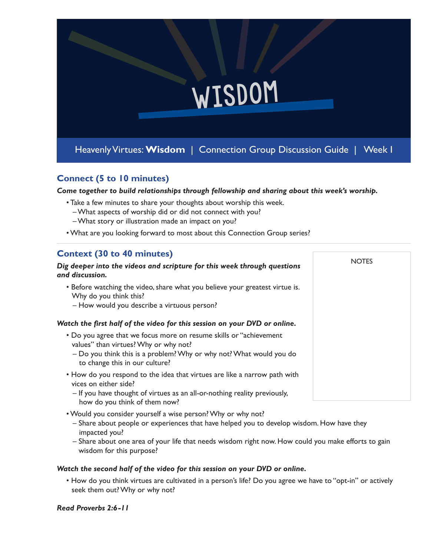

## **Connect (5 to 10 minutes)**

*Come together to build relationships through fellowship and sharing about this week's worship.* 

**NOTES** 

- Take a few minutes to share your thoughts about worship this week.
	- What aspects of worship did or did not connect with you?
	- What story or illustration made an impact on you?
- What are you looking forward to most about this Connection Group series?

# **Context (30 to 40 minutes)**

#### *Dig deeper into the videos and scripture for this week through questions and discussion.*

- Before watching the video, share what you believe your greatest virtue is. Why do you think this?
	- How would you describe a virtuous person?

## *Watch the first half of the video for this session on your DVD or online.*

- Do you agree that we focus more on resume skills or "achievement values" than virtues? Why or why not?
	- Do you think this is a problem? Why or why not? What would you do to change this in our culture?
- How do you respond to the idea that virtues are like a narrow path with vices on either side?
	- If you have thought of virtues as an all-or-nothing reality previously, how do you think of them now?
- Would you consider yourself a wise person? Why or why not?
	- Share about people or experiences that have helped you to develop wisdom. How have they impacted you?
	- Share about one area of your life that needs wisdom right now. How could you make efforts to gain wisdom for this purpose?

## *Watch the second half of the video for this session on your DVD or online.*

• How do you think virtues are cultivated in a person's life? Do you agree we have to "opt-in" or actively seek them out? Why or why not?

#### *Read Proverbs 2:6-11*